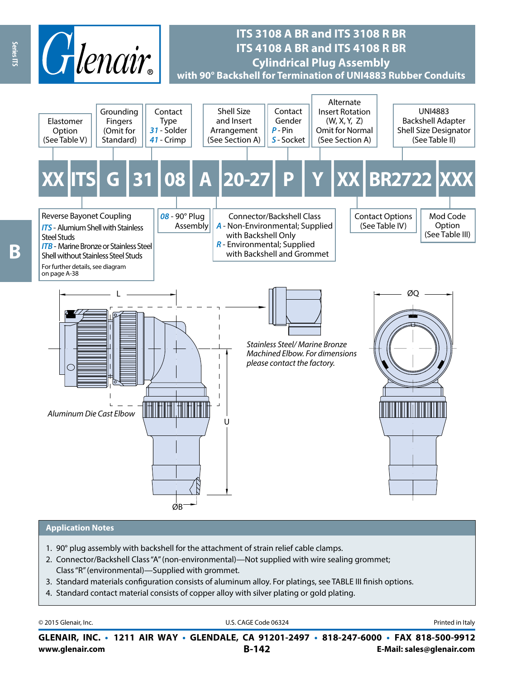

# **ITS 3108 A BR and ITS 3108 R BR ITS 4108 A BR and ITS 4108 R BR Cylindrical Plug Assembly with 90° Backshell for Termination of UNI4883 Rubber Conduits**



#### **Application Notes**

- 1. 90° plug assembly with backshell for the attachment of strain relief cable clamps.
- 2. Connector/Backshell Class "A" (non-environmental)—Not supplied with wire sealing grommet; Class "R" (environmental)—Supplied with grommet.
- 3. Standard materials configuration consists of aluminum alloy. For platings, see TABLE III finish options.
- 4. Standard contact material consists of copper alloy with silver plating or gold plating.

| © 2015 Glenair, Inc. | U.S. CAGE Code 06324 | Printed in Italy |
|----------------------|----------------------|------------------|
|----------------------|----------------------|------------------|

**www.glenair.com B-142 E-Mail: sales@glenair.com GLENAIR, INC. • 1211 AIR WAY • GLENDALE, CA 91201-2497 • 818-247-6000 • FAX 818-500-9912**

Series ITS